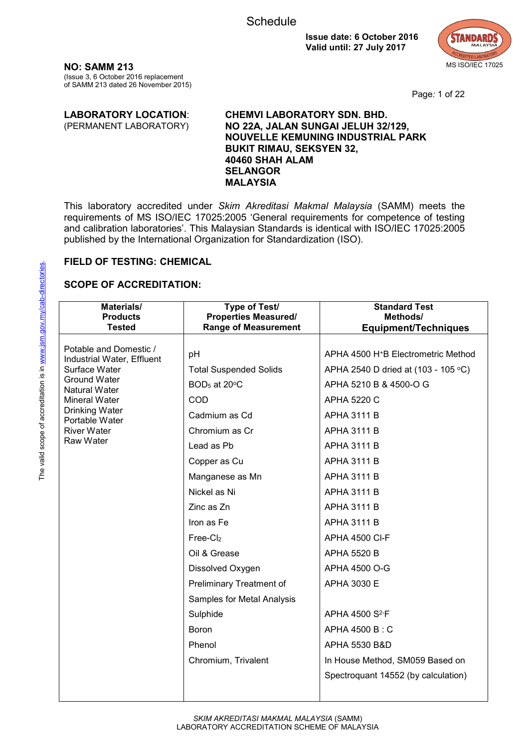

**NO: SAMM 213** (Issue 3, 6 October 2016 replacement of SAMM 213 dated 26 November 2015)

Page*:* 1 of 22

#### **LABORATORY LOCATION**: (PERMANENT LABORATORY) **CHEMVI LABORATORY SDN. BHD. NO 22A, JALAN SUNGAI JELUH 32/129, NOUVELLE KEMUNING INDUSTRIAL PARK BUKIT RIMAU, SEKSYEN 32, 40460 SHAH ALAM SELANGOR MALAYSIA**

This laboratory accredited under *Skim Akreditasi Makmal Malaysia* (SAMM) meets the requirements of MS ISO/IEC 17025:2005 'General requirements for competence of testing and calibration laboratories'. This Malaysian Standards is identical with ISO/IEC 17025:2005 published by the International Organization for Standardization (ISO).

#### **FIELD OF TESTING: CHEMICAL**

| Materials/<br><b>Products</b>                        | Type of Test/<br><b>Properties Measured/</b> | <b>Standard Test</b><br>Methods/                |
|------------------------------------------------------|----------------------------------------------|-------------------------------------------------|
| <b>Tested</b>                                        | <b>Range of Measurement</b>                  | <b>Equipment/Techniques</b>                     |
| Potable and Domestic /<br>Industrial Water, Effluent | pH                                           | APHA 4500 H <sup>+</sup> B Electrometric Method |
| Surface Water                                        | <b>Total Suspended Solids</b>                | APHA 2540 D dried at (103 - 105 °C)             |
| Ground Water<br>Natural Water                        | BOD <sub>5</sub> at 20°C                     | APHA 5210 B & 4500-O G                          |
| Mineral Water                                        | COD                                          | <b>APHA 5220 C</b>                              |
| Drinking Water<br>Portable Water                     | Cadmium as Cd                                | <b>APHA 3111 B</b>                              |
| <b>River Water</b>                                   | Chromium as Cr                               | APHA 3111 B                                     |
| Raw Water                                            | Lead as Pb                                   | <b>APHA 3111 B</b>                              |
|                                                      | Copper as Cu                                 | <b>APHA 3111 B</b>                              |
|                                                      | Manganese as Mn                              | <b>APHA 3111 B</b>                              |
|                                                      | Nickel as Ni                                 | <b>APHA 3111 B</b>                              |
|                                                      | Zinc as Zn                                   | <b>APHA 3111 B</b>                              |
|                                                      | Iron as Fe                                   | <b>APHA 3111 B</b>                              |
|                                                      | Free-C <sub>l2</sub>                         | <b>APHA 4500 CI-F</b>                           |
|                                                      | Oil & Grease                                 | <b>APHA 5520 B</b>                              |
|                                                      | Dissolved Oxygen                             | APHA 4500 O-G                                   |
|                                                      | Preliminary Treatment of                     | APHA 3030 E                                     |
|                                                      | Samples for Metal Analysis                   |                                                 |
|                                                      | Sulphide                                     | APHA 4500 S <sup>2-</sup> F                     |
|                                                      | Boron                                        | APHA 4500 B: C                                  |
|                                                      | Phenol                                       | APHA 5530 B&D                                   |
|                                                      | Chromium, Trivalent                          | In House Method, SM059 Based on                 |
|                                                      |                                              | Spectroquant 14552 (by calculation)             |
|                                                      |                                              |                                                 |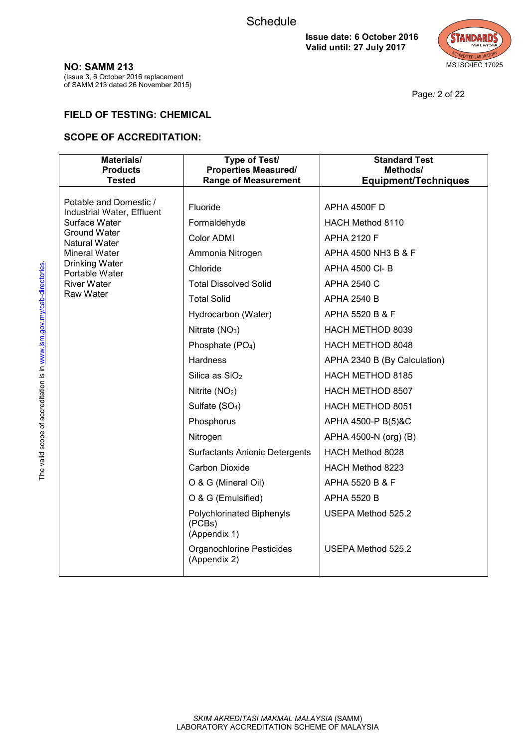

Page*:* 2 of 22

#### **NO: SAMM 213**

(Issue 3, 6 October 2016 replacement of SAMM 213 dated 26 November 2015)

## **FIELD OF TESTING: CHEMICAL**

| Materials/<br><b>Products</b><br><b>Tested</b> | Type of Test/<br><b>Properties Measured/</b><br><b>Range of Measurement</b> | <b>Standard Test</b><br>Methods/<br><b>Equipment/Techniques</b> |
|------------------------------------------------|-----------------------------------------------------------------------------|-----------------------------------------------------------------|
| Potable and Domestic /                         | Fluoride                                                                    |                                                                 |
| Industrial Water, Effluent                     |                                                                             | <b>APHA 4500F D</b>                                             |
| Surface Water<br><b>Ground Water</b>           | Formaldehyde                                                                | HACH Method 8110                                                |
| Natural Water                                  | Color ADMI                                                                  | <b>APHA 2120 F</b>                                              |
| <b>Mineral Water</b><br><b>Drinking Water</b>  | Ammonia Nitrogen                                                            | APHA 4500 NH3 B & F                                             |
| Portable Water                                 | Chloride                                                                    | APHA 4500 CI-B                                                  |
| <b>River Water</b><br>Raw Water                | <b>Total Dissolved Solid</b>                                                | <b>APHA 2540 C</b>                                              |
|                                                | <b>Total Solid</b>                                                          | <b>APHA 2540 B</b>                                              |
|                                                | Hydrocarbon (Water)                                                         | APHA 5520 B & F                                                 |
|                                                | Nitrate $(NO3)$                                                             | HACH METHOD 8039                                                |
|                                                | Phosphate (PO <sub>4</sub> )                                                | HACH METHOD 8048                                                |
|                                                | <b>Hardness</b>                                                             | APHA 2340 B (By Calculation)                                    |
|                                                | Silica as SiO <sub>2</sub>                                                  | HACH METHOD 8185                                                |
|                                                | Nitrite (NO <sub>2</sub> )                                                  | HACH METHOD 8507                                                |
|                                                | Sulfate (SO <sub>4</sub> )                                                  | HACH METHOD 8051                                                |
|                                                | Phosphorus                                                                  | APHA 4500-P B(5)&C                                              |
|                                                | Nitrogen                                                                    | APHA 4500-N (org) (B)                                           |
|                                                | <b>Surfactants Anionic Detergents</b>                                       | HACH Method 8028                                                |
|                                                | Carbon Dioxide                                                              | HACH Method 8223                                                |
|                                                | O & G (Mineral Oil)                                                         | APHA 5520 B & F                                                 |
|                                                | O & G (Emulsified)                                                          | <b>APHA 5520 B</b>                                              |
|                                                | Polychlorinated Biphenyls<br>(PCBs)<br>(Appendix 1)                         | USEPA Method 525.2                                              |
|                                                | <b>Organochlorine Pesticides</b><br>(Appendix 2)                            | USEPA Method 525.2                                              |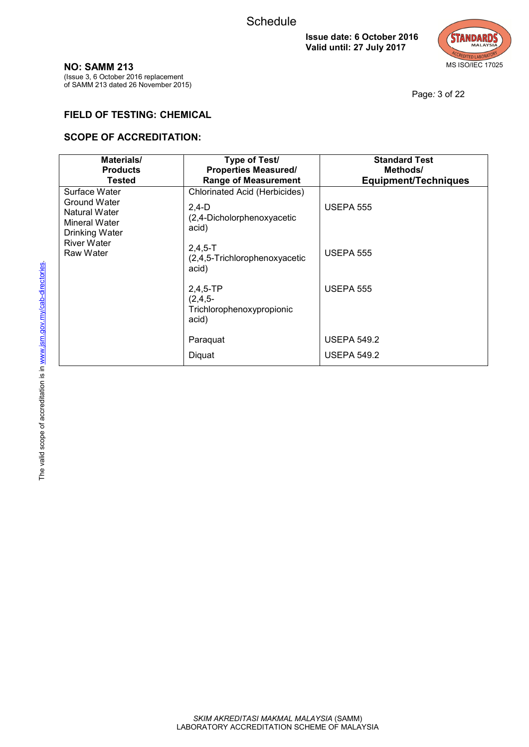

**NO: SAMM 213**

(Issue 3, 6 October 2016 replacement of SAMM 213 dated 26 November 2015)

Page*:* 3 of 22

## **FIELD OF TESTING: CHEMICAL**

| Materials/<br><b>Products</b><br><b>Tested</b>                                    | Type of Test/<br><b>Properties Measured/</b><br><b>Range of Measurement</b>            | <b>Standard Test</b><br>Methods/<br><b>Equipment/Techniques</b> |
|-----------------------------------------------------------------------------------|----------------------------------------------------------------------------------------|-----------------------------------------------------------------|
| Surface Water<br>Ground Water<br>Natural Water<br>Mineral Water<br>Drinking Water | <b>Chlorinated Acid (Herbicides)</b><br>$2,4-D$<br>(2,4-Dicholorphenoxyacetic<br>acid) | <b>USEPA 555</b>                                                |
| <b>River Water</b><br>Raw Water                                                   | $2,4,5-T$<br>(2,4,5-Trichlorophenoxyacetic<br>acid)                                    | <b>USEPA 555</b>                                                |
|                                                                                   | $2,4,5$ -TP<br>$(2, 4, 5 -$<br>Trichlorophenoxypropionic<br>acid)                      | <b>USEPA 555</b>                                                |
|                                                                                   | Paraquat                                                                               | <b>USEPA 549.2</b>                                              |
|                                                                                   | Diquat                                                                                 | <b>USEPA 549.2</b>                                              |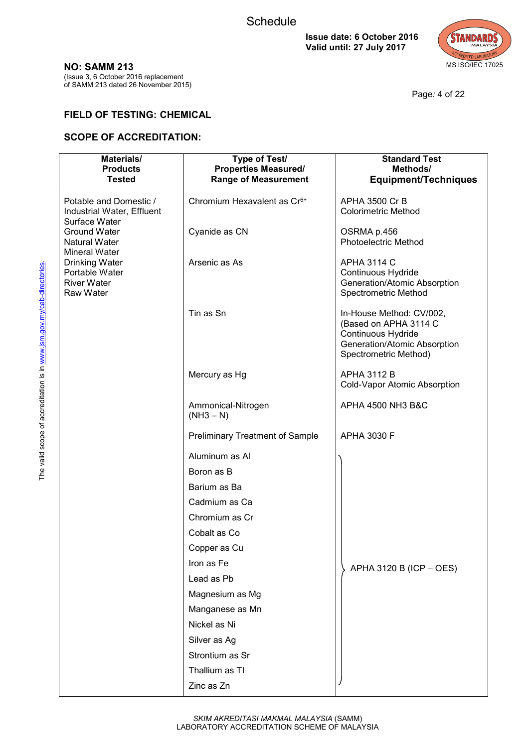

Page*:* 4 of 22

**NO: SAMM 213**

(Issue 3, 6 October 2016 replacement of SAMM 213 dated 26 November 2015)

## **FIELD OF TESTING: CHEMICAL**

| Materials/<br><b>Products</b>                                         | Type of Test/<br><b>Properties Measured/</b> | <b>Standard Test</b><br>Methods/                                                                                                 |
|-----------------------------------------------------------------------|----------------------------------------------|----------------------------------------------------------------------------------------------------------------------------------|
| <b>Tested</b>                                                         | <b>Range of Measurement</b>                  | <b>Equipment/Techniques</b>                                                                                                      |
| Potable and Domestic /<br>Industrial Water, Effluent<br>Surface Water | Chromium Hexavalent as Cr <sup>6+</sup>      | APHA 3500 Cr B<br><b>Colorimetric Method</b>                                                                                     |
| Ground Water<br>Natural Water<br>Mineral Water                        | Cyanide as CN                                | OSRMA p.456<br>Photoelectric Method                                                                                              |
| Drinking Water<br>Portable Water<br>River Water<br>Raw Water          | Arsenic as As                                | <b>APHA 3114 C</b><br>Continuous Hydride<br>Generation/Atomic Absorption<br>Spectrometric Method                                 |
|                                                                       | Tin as Sn                                    | In-House Method: CV/002,<br>(Based on APHA 3114 C<br>Continuous Hydride<br>Generation/Atomic Absorption<br>Spectrometric Method) |
|                                                                       | Mercury as Hg                                | <b>APHA 3112 B</b><br>Cold-Vapor Atomic Absorption                                                                               |
|                                                                       | Ammonical-Nitrogen<br>$(NH3 - N)$            | APHA 4500 NH3 B&C                                                                                                                |
|                                                                       | <b>Preliminary Treatment of Sample</b>       | <b>APHA 3030 F</b>                                                                                                               |
|                                                                       | Aluminum as Al                               |                                                                                                                                  |
|                                                                       | Boron as B                                   |                                                                                                                                  |
|                                                                       | Barium as Ba                                 |                                                                                                                                  |
|                                                                       | Cadmium as Ca                                |                                                                                                                                  |
|                                                                       | Chromium as Cr                               |                                                                                                                                  |
|                                                                       | Cobalt as Co                                 |                                                                                                                                  |
|                                                                       | Copper as Cu                                 |                                                                                                                                  |
|                                                                       | Iron as Fe                                   | APHA 3120 B (ICP - OES)                                                                                                          |
|                                                                       | Lead as Pb                                   |                                                                                                                                  |
|                                                                       | Magnesium as Mg                              |                                                                                                                                  |
|                                                                       | Manganese as Mn                              |                                                                                                                                  |
|                                                                       | Nickel as Ni                                 |                                                                                                                                  |
|                                                                       | Silver as Ag                                 |                                                                                                                                  |
|                                                                       | Strontium as Sr                              |                                                                                                                                  |
|                                                                       | Thallium as TI                               |                                                                                                                                  |
|                                                                       | Zinc as Zn                                   |                                                                                                                                  |
|                                                                       |                                              |                                                                                                                                  |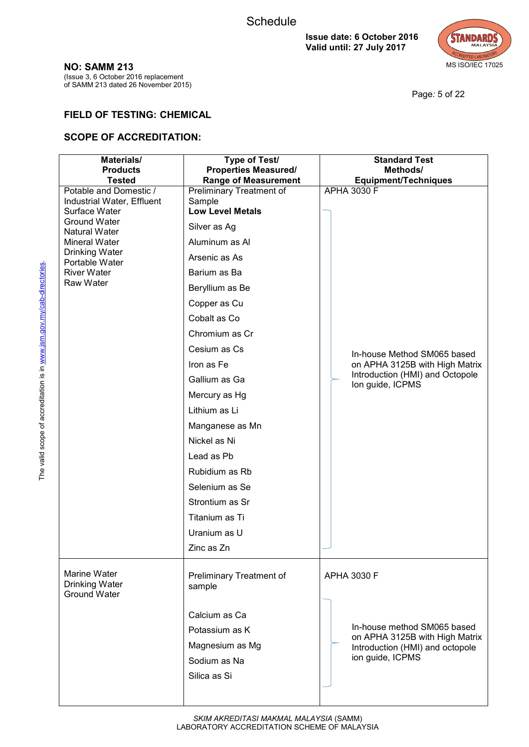

Page*:* 5 of 22

(Issue 3, 6 October 2016 replacement of SAMM 213 dated 26 November 2015)

# **FIELD OF TESTING: CHEMICAL**

| Materials/                                           | Type of Test/                                              | <b>Standard Test</b>                                              |
|------------------------------------------------------|------------------------------------------------------------|-------------------------------------------------------------------|
| <b>Products</b><br><b>Tested</b>                     | <b>Properties Measured/</b><br><b>Range of Measurement</b> | Methods/<br><b>Equipment/Techniques</b>                           |
| Potable and Domestic /<br>Industrial Water, Effluent | Preliminary Treatment of<br>Sample                         | APHA 3030 F                                                       |
| Surface Water<br><b>Ground Water</b>                 | <b>Low Level Metals</b>                                    |                                                                   |
| Natural Water                                        | Silver as Ag                                               |                                                                   |
| Mineral Water                                        | Aluminum as Al                                             |                                                                   |
| Drinking Water<br>Portable Water                     | Arsenic as As                                              |                                                                   |
| <b>River Water</b>                                   | Barium as Ba                                               |                                                                   |
| Raw Water                                            | Beryllium as Be                                            |                                                                   |
|                                                      | Copper as Cu                                               |                                                                   |
|                                                      | Cobalt as Co                                               |                                                                   |
|                                                      | Chromium as Cr                                             |                                                                   |
|                                                      | Cesium as Cs                                               | In-house Method SM065 based                                       |
|                                                      | Iron as Fe                                                 | on APHA 3125B with High Matrix                                    |
|                                                      | Gallium as Ga                                              | Introduction (HMI) and Octopole<br>Ion guide, ICPMS               |
|                                                      | Mercury as Hg                                              |                                                                   |
|                                                      | Lithium as Li                                              |                                                                   |
|                                                      | Manganese as Mn                                            |                                                                   |
|                                                      | Nickel as Ni                                               |                                                                   |
|                                                      | Lead as Pb                                                 |                                                                   |
|                                                      | Rubidium as Rb                                             |                                                                   |
|                                                      | Selenium as Se                                             |                                                                   |
|                                                      | Strontium as Sr                                            |                                                                   |
|                                                      | Titanium as Ti                                             |                                                                   |
|                                                      | Uranium as U                                               |                                                                   |
|                                                      | Zinc as Zn                                                 |                                                                   |
| Marine Water<br><b>Drinking Water</b>                | Preliminary Treatment of<br>sample                         | APHA 3030 F                                                       |
| <b>Ground Water</b>                                  |                                                            |                                                                   |
|                                                      | Calcium as Ca                                              |                                                                   |
|                                                      | Potassium as K                                             | In-house method SM065 based                                       |
|                                                      | Magnesium as Mg                                            | on APHA 3125B with High Matrix<br>Introduction (HMI) and octopole |
|                                                      | Sodium as Na                                               | ion guide, ICPMS                                                  |
|                                                      | Silica as Si                                               |                                                                   |
|                                                      |                                                            |                                                                   |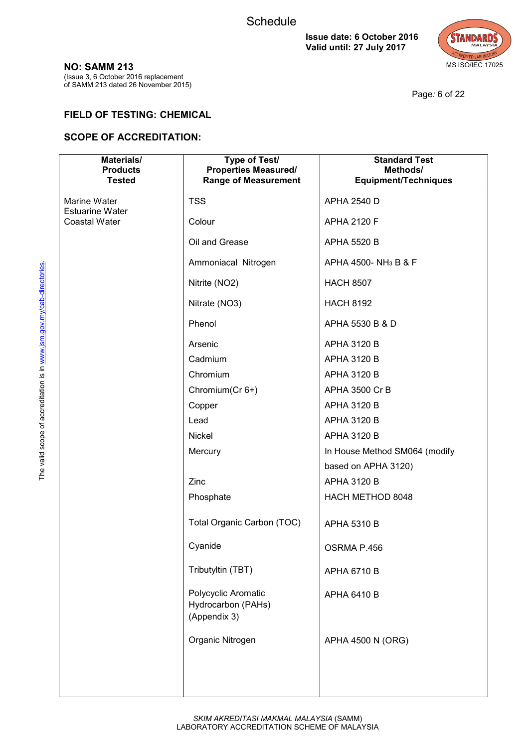

**NO: SAMM 213**

(Issue 3, 6 October 2016 replacement of SAMM 213 dated 26 November 2015)

Page*:* 6 of 22

## **FIELD OF TESTING: CHEMICAL**

| Materials/<br><b>Products</b><br><b>Tested</b> | <b>Type of Test/</b><br><b>Properties Measured/</b><br><b>Range of Measurement</b> | <b>Standard Test</b><br>Methods/<br><b>Equipment/Techniques</b> |
|------------------------------------------------|------------------------------------------------------------------------------------|-----------------------------------------------------------------|
| Marine Water                                   | <b>TSS</b>                                                                         | <b>APHA 2540 D</b>                                              |
| <b>Estuarine Water</b><br>Coastal Water        | Colour                                                                             | <b>APHA 2120 F</b>                                              |
|                                                | Oil and Grease                                                                     | <b>APHA 5520 B</b>                                              |
|                                                | Ammoniacal Nitrogen                                                                | APHA 4500-NH <sub>3</sub> B & F                                 |
|                                                | Nitrite (NO2)                                                                      | <b>HACH 8507</b>                                                |
|                                                | Nitrate (NO3)                                                                      | <b>HACH 8192</b>                                                |
|                                                | Phenol                                                                             | APHA 5530 B & D                                                 |
|                                                | Arsenic                                                                            | APHA 3120 B                                                     |
|                                                | Cadmium                                                                            | <b>APHA 3120 B</b>                                              |
|                                                | Chromium                                                                           | <b>APHA 3120 B</b>                                              |
|                                                | Chromium(Cr 6+)                                                                    | APHA 3500 Cr B                                                  |
|                                                | Copper                                                                             | <b>APHA 3120 B</b>                                              |
|                                                | Lead                                                                               | APHA 3120 B                                                     |
|                                                | Nickel                                                                             | <b>APHA 3120 B</b>                                              |
|                                                | Mercury                                                                            | In House Method SM064 (modify                                   |
|                                                |                                                                                    | based on APHA 3120)                                             |
|                                                | Zinc                                                                               | <b>APHA 3120 B</b>                                              |
|                                                | Phosphate                                                                          | HACH METHOD 8048                                                |
|                                                | Total Organic Carbon (TOC)                                                         | APHA 5310 B                                                     |
|                                                | Cyanide                                                                            | OSRMA P.456                                                     |
|                                                | Tributyltin (TBT)                                                                  | APHA 6710 B                                                     |
|                                                | Polycyclic Aromatic<br>Hydrocarbon (PAHs)<br>(Appendix 3)                          | APHA 6410 B                                                     |
|                                                | Organic Nitrogen                                                                   | APHA 4500 N (ORG)                                               |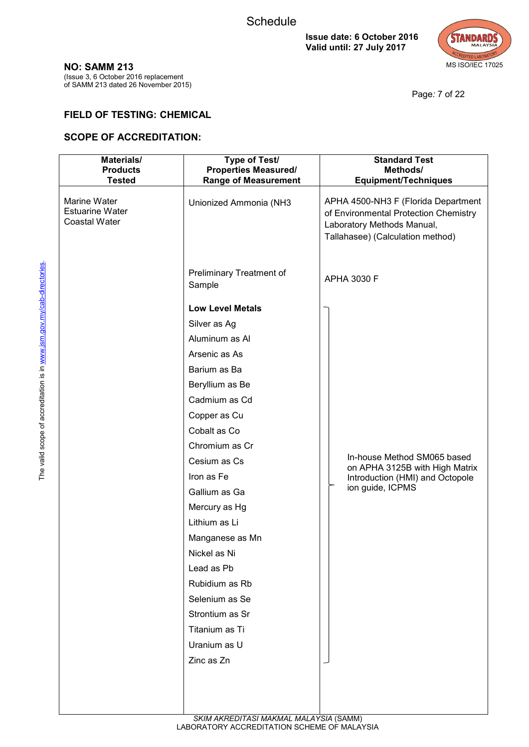

Page*:* 7 of 22

#### **NO: SAMM 213**

(Issue 3, 6 October 2016 replacement of SAMM 213 dated 26 November 2015)

## **FIELD OF TESTING: CHEMICAL**

| Materials/<br><b>Products</b><br><b>Tested</b>                 | Type of Test/<br><b>Properties Measured/</b><br><b>Range of Measurement</b> | <b>Standard Test</b><br>Methods/<br><b>Equipment/Techniques</b>                                                                                |
|----------------------------------------------------------------|-----------------------------------------------------------------------------|------------------------------------------------------------------------------------------------------------------------------------------------|
| Marine Water<br><b>Estuarine Water</b><br><b>Coastal Water</b> | Unionized Ammonia (NH3                                                      | APHA 4500-NH3 F (Florida Department<br>of Environmental Protection Chemistry<br>Laboratory Methods Manual,<br>Tallahasee) (Calculation method) |
|                                                                | Preliminary Treatment of<br>Sample                                          | APHA 3030 F                                                                                                                                    |
|                                                                | <b>Low Level Metals</b>                                                     |                                                                                                                                                |
|                                                                | Silver as Ag                                                                |                                                                                                                                                |
|                                                                | Aluminum as Al                                                              |                                                                                                                                                |
|                                                                | Arsenic as As                                                               |                                                                                                                                                |
|                                                                | Barium as Ba                                                                |                                                                                                                                                |
|                                                                | Beryllium as Be                                                             |                                                                                                                                                |
|                                                                | Cadmium as Cd                                                               |                                                                                                                                                |
|                                                                | Copper as Cu                                                                |                                                                                                                                                |
|                                                                | Cobalt as Co                                                                |                                                                                                                                                |
|                                                                | Chromium as Cr                                                              |                                                                                                                                                |
|                                                                | Cesium as Cs                                                                | In-house Method SM065 based<br>on APHA 3125B with High Matrix                                                                                  |
|                                                                | Iron as Fe                                                                  | Introduction (HMI) and Octopole                                                                                                                |
|                                                                | Gallium as Ga                                                               | ion guide, ICPMS                                                                                                                               |
|                                                                | Mercury as Hg                                                               |                                                                                                                                                |
|                                                                | Lithium as Li                                                               |                                                                                                                                                |
|                                                                | Manganese as Mn                                                             |                                                                                                                                                |
|                                                                | Nickel as Ni                                                                |                                                                                                                                                |
|                                                                | Lead as Pb                                                                  |                                                                                                                                                |
|                                                                | Rubidium as Rb                                                              |                                                                                                                                                |
|                                                                | Selenium as Se                                                              |                                                                                                                                                |
|                                                                | Strontium as Sr                                                             |                                                                                                                                                |
|                                                                | Titanium as Ti                                                              |                                                                                                                                                |
|                                                                | Uranium as U                                                                |                                                                                                                                                |
|                                                                | Zinc as Zn                                                                  |                                                                                                                                                |
|                                                                |                                                                             |                                                                                                                                                |
|                                                                |                                                                             |                                                                                                                                                |
|                                                                |                                                                             |                                                                                                                                                |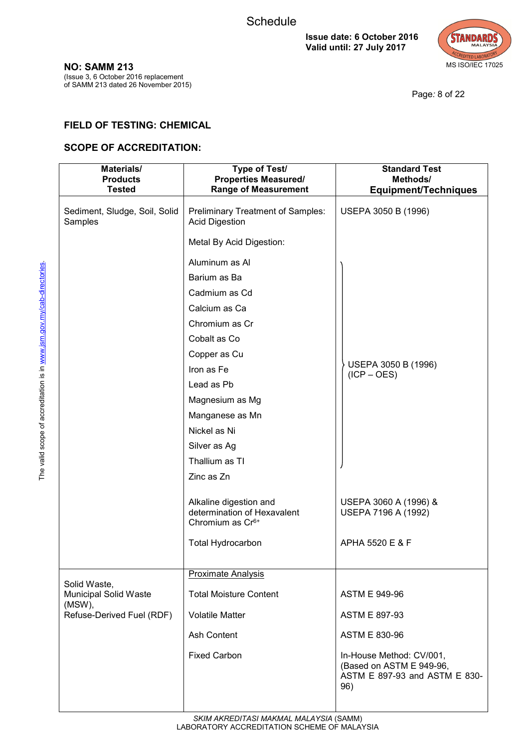

(Issue 3, 6 October 2016 replacement of SAMM 213 dated 26 November 2015)

Page*:* 8 of 22

## **FIELD OF TESTING: CHEMICAL**

| Materials/<br><b>Products</b><br><b>Tested</b>         | Type of Test/<br><b>Properties Measured/</b><br><b>Range of Measurement</b>           | <b>Standard Test</b><br>Methods/<br><b>Equipment/Techniques</b>                              |
|--------------------------------------------------------|---------------------------------------------------------------------------------------|----------------------------------------------------------------------------------------------|
| Sediment, Sludge, Soil, Solid<br>Samples               | Preliminary Treatment of Samples:<br><b>Acid Digestion</b>                            | USEPA 3050 B (1996)                                                                          |
|                                                        | Metal By Acid Digestion:                                                              |                                                                                              |
|                                                        | Aluminum as Al                                                                        |                                                                                              |
|                                                        | Barium as Ba                                                                          |                                                                                              |
|                                                        | Cadmium as Cd                                                                         |                                                                                              |
|                                                        | Calcium as Ca                                                                         |                                                                                              |
|                                                        | Chromium as Cr                                                                        |                                                                                              |
|                                                        | Cobalt as Co                                                                          |                                                                                              |
|                                                        | Copper as Cu                                                                          |                                                                                              |
|                                                        | Iron as Fe                                                                            | USEPA 3050 B (1996)<br>$(ICP - OES)$                                                         |
|                                                        | Lead as Pb                                                                            |                                                                                              |
|                                                        | Magnesium as Mg                                                                       |                                                                                              |
|                                                        | Manganese as Mn                                                                       |                                                                                              |
|                                                        | Nickel as Ni                                                                          |                                                                                              |
|                                                        | Silver as Ag                                                                          |                                                                                              |
|                                                        | Thallium as TI                                                                        |                                                                                              |
|                                                        | Zinc as Zn                                                                            |                                                                                              |
|                                                        | Alkaline digestion and<br>determination of Hexavalent<br>Chromium as Cr <sup>6+</sup> | USEPA 3060 A (1996) &<br>USEPA 7196 A (1992)                                                 |
|                                                        | <b>Total Hydrocarbon</b>                                                              | APHA 5520 E & F                                                                              |
|                                                        | <b>Proximate Analysis</b>                                                             |                                                                                              |
| Solid Waste,<br><b>Municipal Solid Waste</b><br>(MSW), | <b>Total Moisture Content</b>                                                         | <b>ASTM E 949-96</b>                                                                         |
| Refuse-Derived Fuel (RDF)                              | <b>Volatile Matter</b>                                                                | ASTM E 897-93                                                                                |
|                                                        | Ash Content                                                                           | <b>ASTM E 830-96</b>                                                                         |
|                                                        | <b>Fixed Carbon</b>                                                                   | In-House Method: CV/001,<br>(Based on ASTM E 949-96,<br>ASTM E 897-93 and ASTM E 830-<br>96) |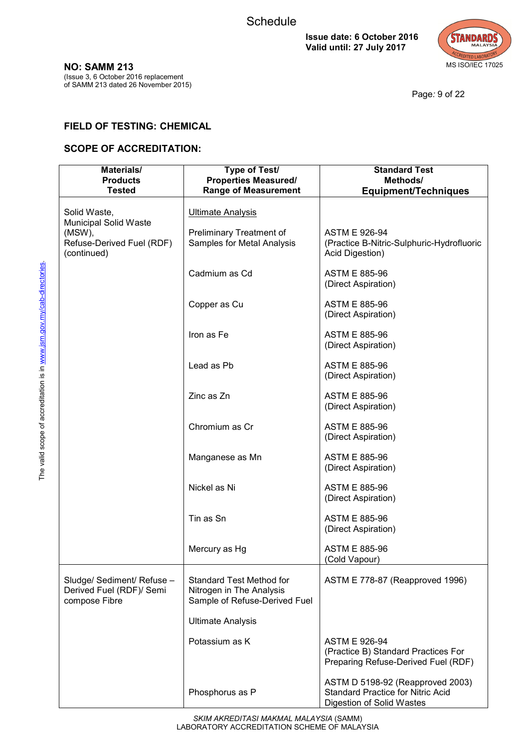

Page*:* 9 of 22

# **NO: SAMM 213**

(Issue 3, 6 October 2016 replacement of SAMM 213 dated 26 November 2015)

# **FIELD OF TESTING: CHEMICAL**

| Materials/<br><b>Products</b>                                               | Type of Test/<br><b>Properties Measured/</b>                                                 | <b>Standard Test</b><br>Methods/                                                                          |
|-----------------------------------------------------------------------------|----------------------------------------------------------------------------------------------|-----------------------------------------------------------------------------------------------------------|
| <b>Tested</b>                                                               | <b>Range of Measurement</b>                                                                  | <b>Equipment/Techniques</b>                                                                               |
| Solid Waste,                                                                | <b>Ultimate Analysis</b>                                                                     |                                                                                                           |
| Municipal Solid Waste<br>(MSW),<br>Refuse-Derived Fuel (RDF)<br>(continued) | Preliminary Treatment of<br>Samples for Metal Analysis                                       | <b>ASTM E 926-94</b><br>(Practice B-Nitric-Sulphuric-Hydrofluoric<br>Acid Digestion)                      |
|                                                                             | Cadmium as Cd                                                                                | <b>ASTM E 885-96</b><br>(Direct Aspiration)                                                               |
|                                                                             | Copper as Cu                                                                                 | <b>ASTM E 885-96</b><br>(Direct Aspiration)                                                               |
|                                                                             | Iron as Fe                                                                                   | <b>ASTM E 885-96</b><br>(Direct Aspiration)                                                               |
|                                                                             | Lead as Pb                                                                                   | <b>ASTM E 885-96</b><br>(Direct Aspiration)                                                               |
|                                                                             | Zinc as Zn                                                                                   | <b>ASTM E 885-96</b><br>(Direct Aspiration)                                                               |
|                                                                             | Chromium as Cr                                                                               | <b>ASTM E 885-96</b><br>(Direct Aspiration)                                                               |
|                                                                             | Manganese as Mn                                                                              | <b>ASTM E 885-96</b><br>(Direct Aspiration)                                                               |
|                                                                             | Nickel as Ni                                                                                 | <b>ASTM E 885-96</b><br>(Direct Aspiration)                                                               |
|                                                                             | Tin as Sn                                                                                    | <b>ASTM E 885-96</b><br>(Direct Aspiration)                                                               |
|                                                                             | Mercury as Hg                                                                                | <b>ASTM E 885-96</b><br>(Cold Vapour)                                                                     |
| Sludge/ Sediment/ Refuse -<br>Derived Fuel (RDF)/ Semi<br>compose Fibre     | <b>Standard Test Method for</b><br>Nitrogen in The Analysis<br>Sample of Refuse-Derived Fuel | ASTM E 778-87 (Reapproved 1996)                                                                           |
|                                                                             | <b>Ultimate Analysis</b>                                                                     |                                                                                                           |
|                                                                             | Potassium as K                                                                               | <b>ASTM E 926-94</b><br>(Practice B) Standard Practices For<br>Preparing Refuse-Derived Fuel (RDF)        |
|                                                                             | Phosphorus as P                                                                              | ASTM D 5198-92 (Reapproved 2003)<br><b>Standard Practice for Nitric Acid</b><br>Digestion of Solid Wastes |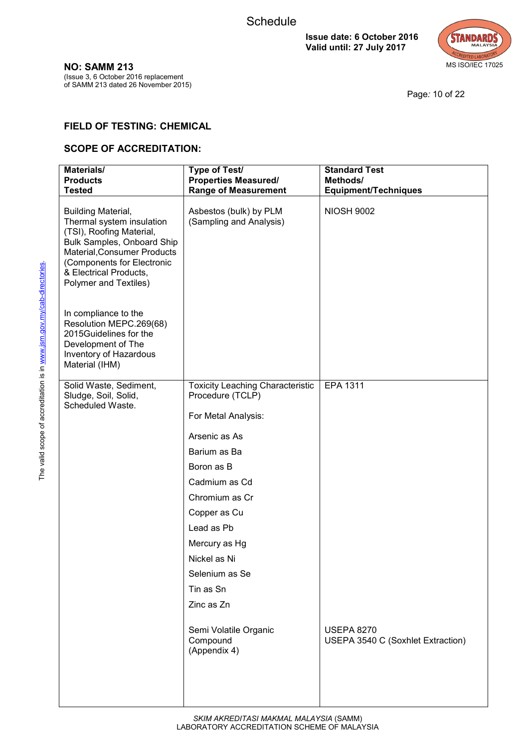

**NO: SAMM 213** (Issue 3, 6 October 2016 replacement

of SAMM 213 dated 26 November 2015)

Page*:* 10 of 22

## **FIELD OF TESTING: CHEMICAL**

| Materials/<br><b>Products</b><br><b>Tested</b>                                                                                                                                                                                   | Type of Test/<br><b>Properties Measured/</b><br><b>Range of Measurement</b> | <b>Standard Test</b><br>Methods/<br><b>Equipment/Techniques</b> |
|----------------------------------------------------------------------------------------------------------------------------------------------------------------------------------------------------------------------------------|-----------------------------------------------------------------------------|-----------------------------------------------------------------|
| <b>Building Material,</b><br>Thermal system insulation<br>(TSI), Roofing Material,<br>Bulk Samples, Onboard Ship<br>Material, Consumer Products<br>(Components for Electronic<br>& Electrical Products,<br>Polymer and Textiles) | Asbestos (bulk) by PLM<br>(Sampling and Analysis)                           | <b>NIOSH 9002</b>                                               |
| In compliance to the<br>Resolution MEPC.269(68)<br>2015Guidelines for the<br>Development of The<br>Inventory of Hazardous<br>Material (IHM)                                                                                      |                                                                             |                                                                 |
| Solid Waste, Sediment,<br>Sludge, Soil, Solid,                                                                                                                                                                                   | <b>Toxicity Leaching Characteristic</b><br>Procedure (TCLP)                 | EPA 1311                                                        |
| Scheduled Waste.                                                                                                                                                                                                                 | For Metal Analysis:                                                         |                                                                 |
|                                                                                                                                                                                                                                  | Arsenic as As                                                               |                                                                 |
|                                                                                                                                                                                                                                  | Barium as Ba                                                                |                                                                 |
|                                                                                                                                                                                                                                  | Boron as B                                                                  |                                                                 |
|                                                                                                                                                                                                                                  | Cadmium as Cd                                                               |                                                                 |
|                                                                                                                                                                                                                                  | Chromium as Cr                                                              |                                                                 |
|                                                                                                                                                                                                                                  | Copper as Cu                                                                |                                                                 |
|                                                                                                                                                                                                                                  | Lead as Pb                                                                  |                                                                 |
|                                                                                                                                                                                                                                  | Mercury as Hg                                                               |                                                                 |
|                                                                                                                                                                                                                                  | Nickel as Ni                                                                |                                                                 |
|                                                                                                                                                                                                                                  | Selenium as Se                                                              |                                                                 |
|                                                                                                                                                                                                                                  | Tin as Sn                                                                   |                                                                 |
|                                                                                                                                                                                                                                  | Zinc as Zn                                                                  |                                                                 |
|                                                                                                                                                                                                                                  | Semi Volatile Organic<br>Compound<br>(Appendix 4)                           | <b>USEPA 8270</b><br>USEPA 3540 C (Soxhlet Extraction)          |
|                                                                                                                                                                                                                                  |                                                                             |                                                                 |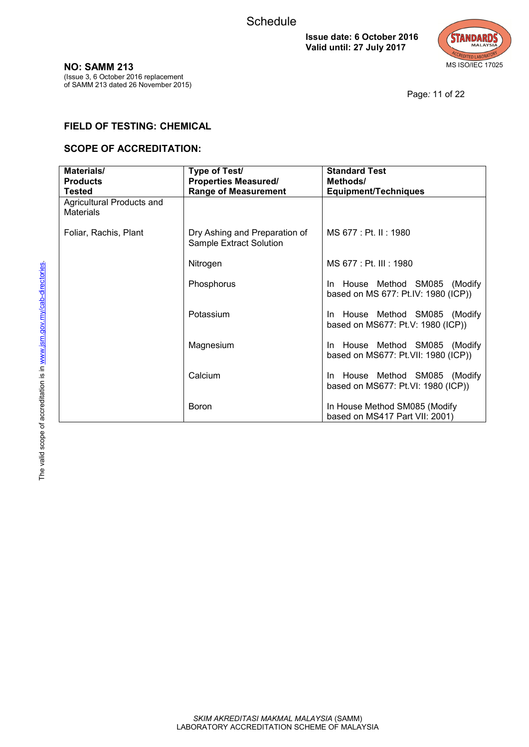

**NO: SAMM 213**

(Issue 3, 6 October 2016 replacement of SAMM 213 dated 26 November 2015)

Page*:* 11 of 22

## **FIELD OF TESTING: CHEMICAL**

| Materials/<br><b>Products</b><br><b>Tested</b> | Type of Test/<br><b>Properties Measured/</b><br><b>Range of Measurement</b> | <b>Standard Test</b><br>Methods/<br><b>Equipment/Techniques</b>      |
|------------------------------------------------|-----------------------------------------------------------------------------|----------------------------------------------------------------------|
| Agricultural Products and<br><b>Materials</b>  |                                                                             |                                                                      |
| Foliar, Rachis, Plant                          | Dry Ashing and Preparation of<br>Sample Extract Solution                    | MS 677 : Pt. II : 1980                                               |
|                                                | Nitrogen                                                                    | MS 677 : Pt. III : 1980                                              |
|                                                | Phosphorus                                                                  | In House Method SM085 (Modify<br>based on MS 677: Pt.IV: 1980 (ICP)) |
|                                                | Potassium                                                                   | In House Method SM085 (Modify<br>based on MS677: Pt.V: 1980 (ICP))   |
|                                                | Magnesium                                                                   | In House Method SM085 (Modify<br>based on MS677: Pt.VII: 1980 (ICP)) |
|                                                | Calcium                                                                     | In House Method SM085 (Modify<br>based on MS677: Pt.VI: 1980 (ICP))  |
|                                                | <b>Boron</b>                                                                | In House Method SM085 (Modify<br>based on MS417 Part VII: 2001)      |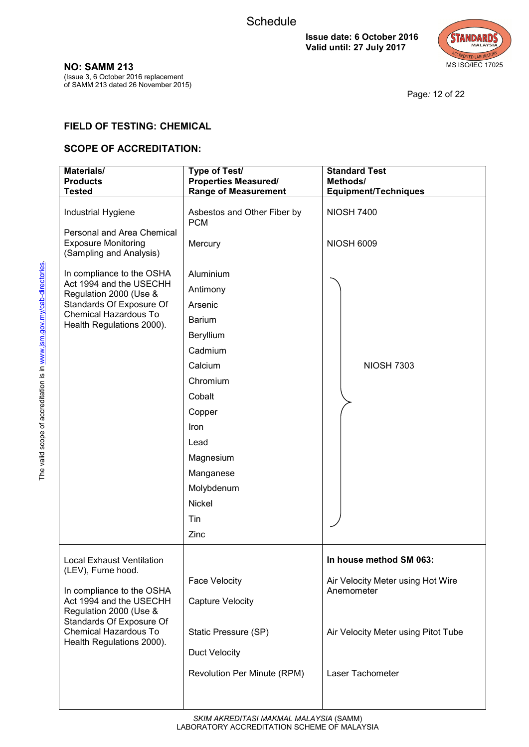

Page*:* 12 of 22

## **FIELD OF TESTING: CHEMICAL**

| Materials/<br><b>Products</b><br><b>Tested</b>                                                                                                                                                                     | Type of Test/<br><b>Properties Measured/</b><br><b>Range of Measurement</b>                                                                                                                                  | <b>Standard Test</b><br>Methods/<br><b>Equipment/Techniques</b>                                                                       |
|--------------------------------------------------------------------------------------------------------------------------------------------------------------------------------------------------------------------|--------------------------------------------------------------------------------------------------------------------------------------------------------------------------------------------------------------|---------------------------------------------------------------------------------------------------------------------------------------|
| Industrial Hygiene<br>Personal and Area Chemical<br><b>Exposure Monitoring</b><br>(Sampling and Analysis)                                                                                                          | Asbestos and Other Fiber by<br><b>PCM</b><br>Mercury                                                                                                                                                         | <b>NIOSH 7400</b><br><b>NIOSH 6009</b>                                                                                                |
| In compliance to the OSHA<br>Act 1994 and the USECHH<br>Regulation 2000 (Use &<br>Standards Of Exposure Of<br>Chemical Hazardous To<br>Health Regulations 2000).                                                   | Aluminium<br>Antimony<br>Arsenic<br><b>Barium</b><br>Beryllium<br>Cadmium<br>Calcium<br>Chromium<br>Cobalt<br>Copper<br>Iron<br>Lead<br>Magnesium<br>Manganese<br>Molybdenum<br><b>Nickel</b><br>Tin<br>Zinc | <b>NIOSH 7303</b>                                                                                                                     |
| Local Exhaust Ventilation<br>(LEV), Fume hood.<br>In compliance to the OSHA<br>Act 1994 and the USECHH<br>Regulation 2000 (Use &<br>Standards Of Exposure Of<br>Chemical Hazardous To<br>Health Regulations 2000). | <b>Face Velocity</b><br><b>Capture Velocity</b><br>Static Pressure (SP)<br><b>Duct Velocity</b><br>Revolution Per Minute (RPM)                                                                               | In house method SM 063:<br>Air Velocity Meter using Hot Wire<br>Anemometer<br>Air Velocity Meter using Pitot Tube<br>Laser Tachometer |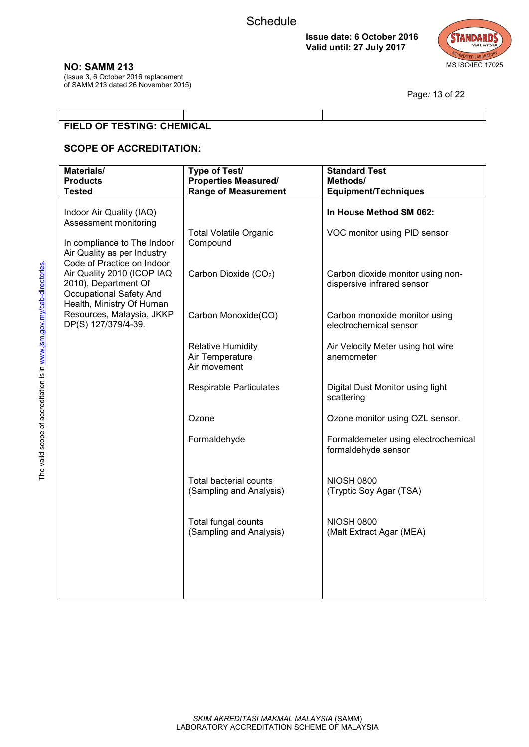

Page*:* 13 of 22

#### **NO: SAMM 213**

(Issue 3, 6 October 2016 replacement of SAMM 213 dated 26 November 2015)

**FIELD OF TESTING: CHEMICAL** 

| Materials/<br><b>Products</b>                                                                                   | Type of Test/<br><b>Properties Measured/</b>                | <b>Standard Test</b><br>Methods/                                |
|-----------------------------------------------------------------------------------------------------------------|-------------------------------------------------------------|-----------------------------------------------------------------|
| <b>Tested</b>                                                                                                   | <b>Range of Measurement</b>                                 | <b>Equipment/Techniques</b>                                     |
|                                                                                                                 |                                                             |                                                                 |
| Indoor Air Quality (IAQ)<br>Assessment monitoring                                                               |                                                             | In House Method SM 062:                                         |
| In compliance to The Indoor                                                                                     | <b>Total Volatile Organic</b><br>Compound                   | VOC monitor using PID sensor                                    |
| Air Quality as per Industry<br>Code of Practice on Indoor<br>Air Quality 2010 (ICOP IAQ<br>2010), Department Of | Carbon Dioxide (CO2)                                        | Carbon dioxide monitor using non-<br>dispersive infrared sensor |
| <b>Occupational Safety And</b><br>Health, Ministry Of Human                                                     |                                                             |                                                                 |
| Resources, Malaysia, JKKP<br>DP(S) 127/379/4-39.                                                                | Carbon Monoxide(CO)                                         | Carbon monoxide monitor using<br>electrochemical sensor         |
|                                                                                                                 | <b>Relative Humidity</b><br>Air Temperature<br>Air movement | Air Velocity Meter using hot wire<br>anemometer                 |
|                                                                                                                 | <b>Respirable Particulates</b>                              | Digital Dust Monitor using light<br>scattering                  |
|                                                                                                                 | Ozone                                                       | Ozone monitor using OZL sensor.                                 |
|                                                                                                                 | Formaldehyde                                                | Formaldemeter using electrochemical<br>formaldehyde sensor      |
|                                                                                                                 | <b>Total bacterial counts</b><br>(Sampling and Analysis)    | <b>NIOSH 0800</b><br>(Tryptic Soy Agar (TSA)                    |
|                                                                                                                 | Total fungal counts<br>(Sampling and Analysis)              | <b>NIOSH 0800</b><br>(Malt Extract Agar (MEA)                   |
|                                                                                                                 |                                                             |                                                                 |
|                                                                                                                 |                                                             |                                                                 |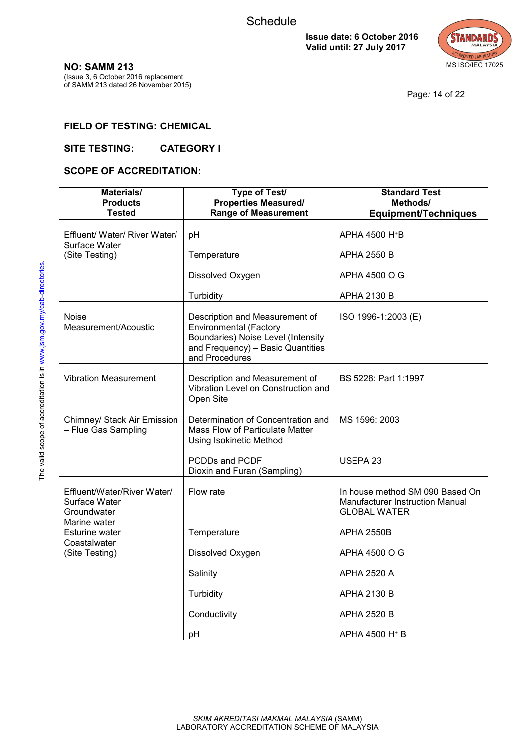

Page*:* 14 of 22

#### **NO: SAMM 213** (Issue 3, 6 October 2016 replacement of SAMM 213 dated 26 November 2015)

**FIELD OF TESTING: CHEMICAL**

## **SITE TESTING: CATEGORY I**

| Materials/<br><b>Products</b><br><b>Tested</b>                              | Type of Test/<br><b>Properties Measured/</b><br><b>Range of Measurement</b>                                                                                  | <b>Standard Test</b><br>Methods/<br><b>Equipment/Techniques</b>                           |
|-----------------------------------------------------------------------------|--------------------------------------------------------------------------------------------------------------------------------------------------------------|-------------------------------------------------------------------------------------------|
| Effluent/ Water/ River Water/<br>Surface Water                              | pH                                                                                                                                                           | APHA 4500 H <sup>+</sup> B                                                                |
| (Site Testing)                                                              | Temperature                                                                                                                                                  | <b>APHA 2550 B</b>                                                                        |
|                                                                             | Dissolved Oxygen                                                                                                                                             | APHA 4500 O G                                                                             |
|                                                                             | <b>Turbidity</b>                                                                                                                                             | APHA 2130 B                                                                               |
| Noise<br>Measurement/Acoustic                                               | Description and Measurement of<br><b>Environmental (Factory</b><br>Boundaries) Noise Level (Intensity<br>and Frequency) - Basic Quantities<br>and Procedures | ISO 1996-1:2003 (E)                                                                       |
| <b>Vibration Measurement</b>                                                | Description and Measurement of<br>Vibration Level on Construction and<br>Open Site                                                                           | BS 5228: Part 1:1997                                                                      |
| Chimney/ Stack Air Emission<br>- Flue Gas Sampling                          | Determination of Concentration and<br>Mass Flow of Particulate Matter<br><b>Using Isokinetic Method</b>                                                      | MS 1596: 2003                                                                             |
|                                                                             | PCDDs and PCDF<br>Dioxin and Furan (Sampling)                                                                                                                | USEPA <sub>23</sub>                                                                       |
| Effluent/Water/River Water/<br>Surface Water<br>Groundwater<br>Marine water | Flow rate                                                                                                                                                    | In house method SM 090 Based On<br>Manufacturer Instruction Manual<br><b>GLOBAL WATER</b> |
| <b>Esturine water</b>                                                       | Temperature                                                                                                                                                  | <b>APHA 2550B</b>                                                                         |
| Coastalwater<br>(Site Testing)                                              | Dissolved Oxygen                                                                                                                                             | APHA 4500 O G                                                                             |
|                                                                             | Salinity                                                                                                                                                     | <b>APHA 2520 A</b>                                                                        |
|                                                                             | Turbidity                                                                                                                                                    | <b>APHA 2130 B</b>                                                                        |
|                                                                             | Conductivity                                                                                                                                                 | <b>APHA 2520 B</b>                                                                        |
|                                                                             | pH                                                                                                                                                           | APHA 4500 H <sup>+</sup> B                                                                |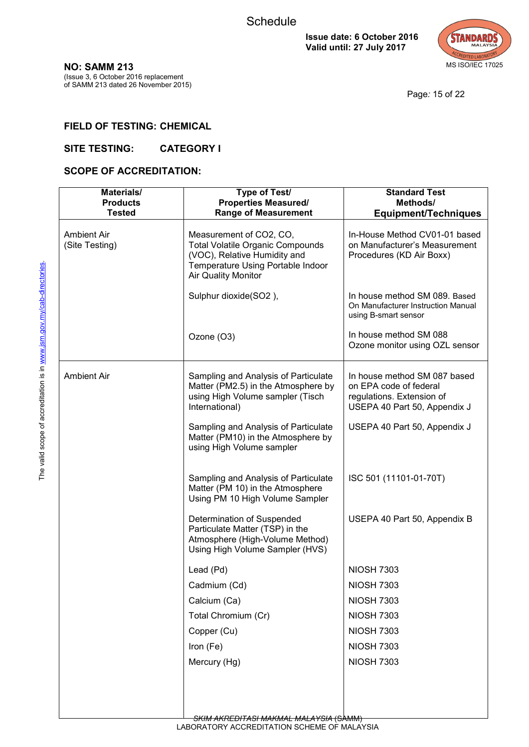

Page*:* 15 of 22

# **NO: SAMM 213**

(Issue 3, 6 October 2016 replacement of SAMM 213 dated 26 November 2015)

# **FIELD OF TESTING: CHEMICAL**

#### **SITE TESTING: CATEGORY I**

| Materials/<br><b>Products</b> | Type of Test/<br><b>Properties Measured/</b>                                                                                                                   | <b>Standard Test</b><br>Methods/                                                                                    |
|-------------------------------|----------------------------------------------------------------------------------------------------------------------------------------------------------------|---------------------------------------------------------------------------------------------------------------------|
| <b>Tested</b>                 | <b>Range of Measurement</b>                                                                                                                                    | <b>Equipment/Techniques</b>                                                                                         |
| Ambient Air<br>(Site Testing) | Measurement of CO2, CO,<br><b>Total Volatile Organic Compounds</b><br>(VOC), Relative Humidity and<br>Temperature Using Portable Indoor<br>Air Quality Monitor | In-House Method CV01-01 based<br>on Manufacturer's Measurement<br>Procedures (KD Air Boxx)                          |
|                               | Sulphur dioxide(SO2),                                                                                                                                          | In house method SM 089. Based<br>On Manufacturer Instruction Manual<br>using B-smart sensor                         |
|                               | Ozone (O3)                                                                                                                                                     | In house method SM 088<br>Ozone monitor using OZL sensor                                                            |
| <b>Ambient Air</b>            | Sampling and Analysis of Particulate<br>Matter (PM2.5) in the Atmosphere by<br>using High Volume sampler (Tisch<br>International)                              | In house method SM 087 based<br>on EPA code of federal<br>regulations. Extension of<br>USEPA 40 Part 50, Appendix J |
|                               | Sampling and Analysis of Particulate<br>Matter (PM10) in the Atmosphere by<br>using High Volume sampler                                                        | USEPA 40 Part 50, Appendix J                                                                                        |
|                               | Sampling and Analysis of Particulate<br>Matter (PM 10) in the Atmosphere<br>Using PM 10 High Volume Sampler                                                    | ISC 501 (11101-01-70T)                                                                                              |
|                               | Determination of Suspended<br>Particulate Matter (TSP) in the<br>Atmosphere (High-Volume Method)<br>Using High Volume Sampler (HVS)                            | USEPA 40 Part 50, Appendix B                                                                                        |
|                               | Lead (Pd)                                                                                                                                                      | <b>NIOSH 7303</b>                                                                                                   |
|                               | Cadmium (Cd)                                                                                                                                                   | <b>NIOSH 7303</b>                                                                                                   |
|                               | Calcium (Ca)                                                                                                                                                   | <b>NIOSH 7303</b>                                                                                                   |
|                               | Total Chromium (Cr)                                                                                                                                            | <b>NIOSH 7303</b>                                                                                                   |
|                               | Copper (Cu)                                                                                                                                                    | <b>NIOSH 7303</b>                                                                                                   |
|                               | Iron (Fe)                                                                                                                                                      | <b>NIOSH 7303</b>                                                                                                   |
|                               | Mercury (Hg)                                                                                                                                                   | <b>NIOSH 7303</b>                                                                                                   |
|                               |                                                                                                                                                                |                                                                                                                     |
|                               |                                                                                                                                                                |                                                                                                                     |
|                               |                                                                                                                                                                |                                                                                                                     |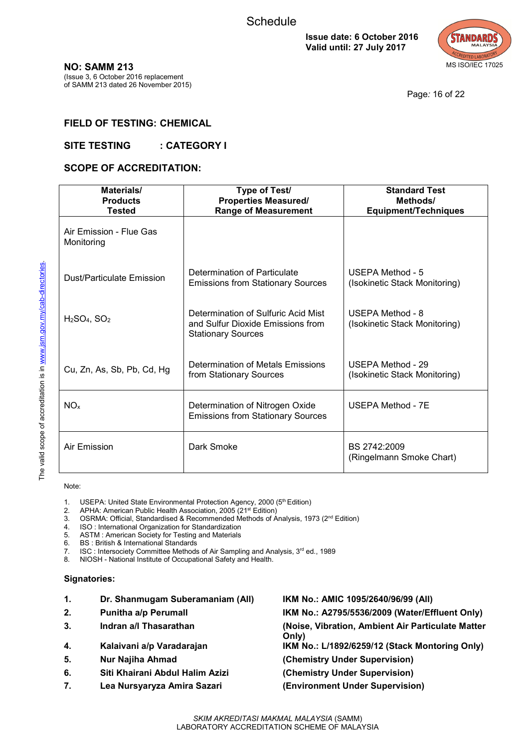

Page*:* 16 of 22

## **FIELD OF TESTING: CHEMICAL**

#### SITE TESTING : CATEGORY I

#### **SCOPE OF ACCREDITATION:**

| Materials/<br><b>Products</b><br><b>Tested</b> | Type of Test/<br><b>Properties Measured/</b><br><b>Range of Measurement</b>                           | <b>Standard Test</b><br>Methods/<br><b>Equipment/Techniques</b> |
|------------------------------------------------|-------------------------------------------------------------------------------------------------------|-----------------------------------------------------------------|
| Air Emission - Flue Gas<br>Monitoring          |                                                                                                       |                                                                 |
| Dust/Particulate Emission                      | Determination of Particulate<br><b>Emissions from Stationary Sources</b>                              | USEPA Method - 5<br>(Isokinetic Stack Monitoring)               |
| $H2SO4$ , $SO2$                                | Determination of Sulfuric Acid Mist<br>and Sulfur Dioxide Emissions from<br><b>Stationary Sources</b> | USEPA Method - 8<br>(Isokinetic Stack Monitoring)               |
| Cu, Zn, As, Sb, Pb, Cd, Hg                     | Determination of Metals Emissions<br>from Stationary Sources                                          | <b>USEPA Method - 29</b><br>(Isokinetic Stack Monitoring)       |
| NO <sub>x</sub>                                | Determination of Nitrogen Oxide<br><b>Emissions from Stationary Sources</b>                           | USEPA Method - 7E                                               |
| Air Emission                                   | Dark Smoke                                                                                            | BS 2742:2009<br>(Ringelmann Smoke Chart)                        |

Note:

- 1. USEPA: United State Environmental Protection Agency, 2000 ( $5<sup>th</sup>$  Edition)<br>2. APHA: American Public Health Association, 2005 (21<sup>st</sup> Edition)
- APHA: American Public Health Association, 2005 (21<sup>st</sup> Edition)
- 3. OSRMA: Official, Standardised & Recommended Methods of Analysis, 1973 ( $2^{nd}$  Edition)<br>4. ISO: International Organization for Standardization
- ISO : International Organization for Standardization
- 5. ASTM : American Society for Testing and Materials
- 6. BS : British & International Standards
- 7. ISC : Intersociety Committee Methods of Air Sampling and Analysis,  $3<sup>rd</sup>$  ed., 1989<br>8. NIOSH National Institute of Occupational Safety and Health.
- 8. NIOSH National Institute of Occupational Safety and Health.

#### **Signatories:**

- **1. Dr. Shanmugam Suberamaniam (All) IKM No.: AMIC 1095/2640/96/99 (All) 2. Punitha a/p Perumall IKM No.: A2795/5536/2009 (Water/Effluent Only) 3. Indran a/l Thasarathan (Noise, Vibration, Ambient Air Particulate Matter Only) 4. Kalaivani a/p Varadarajan IKM No.: L/1892/6259/12 (Stack Montoring Only) 5. Nur Najiha Ahmad (Chemistry Under Supervision)**
- **6. Siti Khairani Abdul Halim Azizi (Chemistry Under Supervision)**
- **7. Lea Nursyaryza Amira Sazari (Environment Under Supervision)**
- -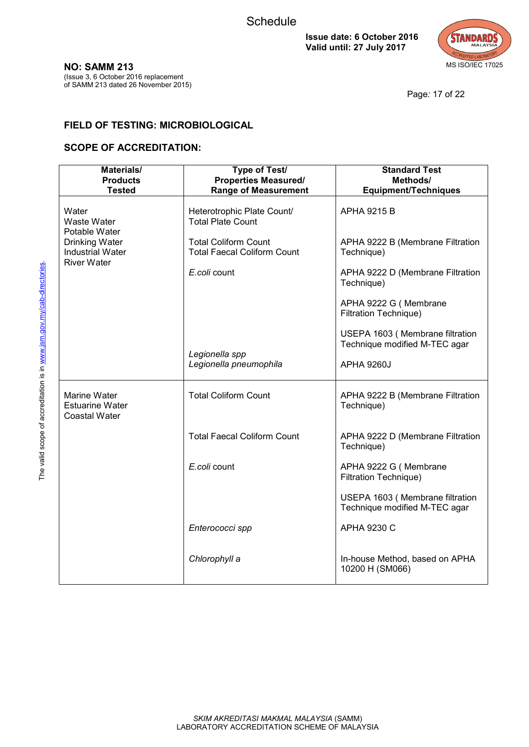

**NO: SAMM 213**

(Issue 3, 6 October 2016 replacement of SAMM 213 dated 26 November 2015)

Page*:* 17 of 22

### **FIELD OF TESTING: MICROBIOLOGICAL**

| Materials/<br><b>Products</b><br><b>Tested</b>                        | <b>Type of Test/</b><br><b>Properties Measured/</b><br><b>Range of Measurement</b> | <b>Standard Test</b><br>Methods/<br><b>Equipment/Techniques</b>  |
|-----------------------------------------------------------------------|------------------------------------------------------------------------------------|------------------------------------------------------------------|
| Water<br><b>Waste Water</b><br>Potable Water                          | Heterotrophic Plate Count/<br><b>Total Plate Count</b>                             | <b>APHA 9215 B</b>                                               |
| Drinking Water<br><b>Industrial Water</b><br><b>River Water</b>       | <b>Total Coliform Count</b><br><b>Total Faecal Coliform Count</b>                  | APHA 9222 B (Membrane Filtration<br>Technique)                   |
|                                                                       | E.coli count                                                                       | APHA 9222 D (Membrane Filtration<br>Technique)                   |
|                                                                       |                                                                                    | APHA 9222 G (Membrane<br>Filtration Technique)                   |
|                                                                       |                                                                                    | USEPA 1603 (Membrane filtration<br>Technique modified M-TEC agar |
|                                                                       | Legionella spp<br>Legionella pneumophila                                           | <b>APHA 9260J</b>                                                |
| <b>Marine Water</b><br><b>Estuarine Water</b><br><b>Coastal Water</b> | <b>Total Coliform Count</b>                                                        | APHA 9222 B (Membrane Filtration<br>Technique)                   |
|                                                                       | <b>Total Faecal Coliform Count</b>                                                 | APHA 9222 D (Membrane Filtration<br>Technique)                   |
|                                                                       | E.coli count                                                                       | APHA 9222 G (Membrane<br>Filtration Technique)                   |
|                                                                       |                                                                                    | USEPA 1603 (Membrane filtration<br>Technique modified M-TEC agar |
|                                                                       | Enterococci spp                                                                    | APHA 9230 C                                                      |
|                                                                       | Chlorophyll a                                                                      | In-house Method, based on APHA<br>10200 H (SM066)                |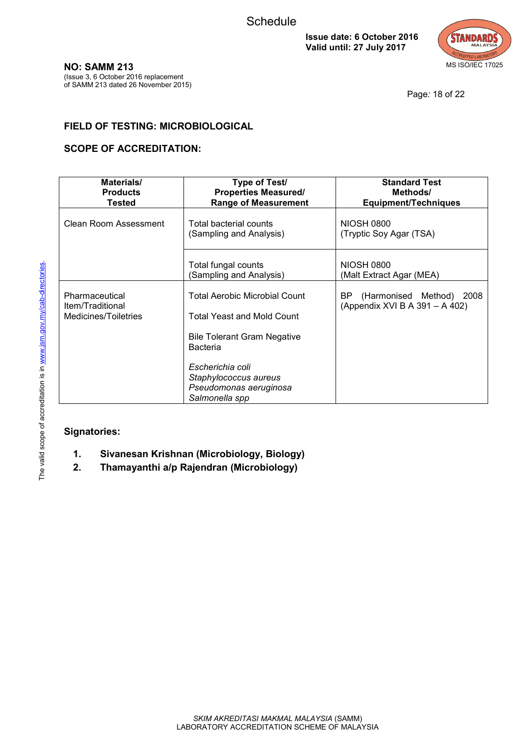

**NO: SAMM 213**

(Issue 3, 6 October 2016 replacement of SAMM 213 dated 26 November 2015)

Page*:* 18 of 22

## **FIELD OF TESTING: MICROBIOLOGICAL**

## **SCOPE OF ACCREDITATION:**

| Materials/<br><b>Products</b><br><b>Tested</b>             | <b>Type of Test/</b><br><b>Properties Measured/</b><br><b>Range of Measurement</b>                                                                                                                                          | <b>Standard Test</b><br>Methods/<br><b>Equipment/Techniques</b>   |
|------------------------------------------------------------|-----------------------------------------------------------------------------------------------------------------------------------------------------------------------------------------------------------------------------|-------------------------------------------------------------------|
| Clean Room Assessment                                      | Total bacterial counts<br>(Sampling and Analysis)                                                                                                                                                                           | <b>NIOSH 0800</b><br>(Tryptic Soy Agar (TSA)                      |
|                                                            | Total fungal counts<br>(Sampling and Analysis)                                                                                                                                                                              | <b>NIOSH 0800</b><br>(Malt Extract Agar (MEA)                     |
| Pharmaceutical<br>Item/Traditional<br>Medicines/Toiletries | <b>Total Aerobic Microbial Count</b><br><b>Total Yeast and Mold Count</b><br><b>Bile Tolerant Gram Negative</b><br><b>Bacteria</b><br>Escherichia coli<br>Staphylococcus aureus<br>Pseudomonas aeruginosa<br>Salmonella spp | BP.<br>(Harmonised Method) 2008<br>(Appendix XVI B A 391 - A 402) |

## **Signatories:**

- **1. Sivanesan Krishnan (Microbiology, Biology)**
- **2. Thamayanthi a/p Rajendran (Microbiology)**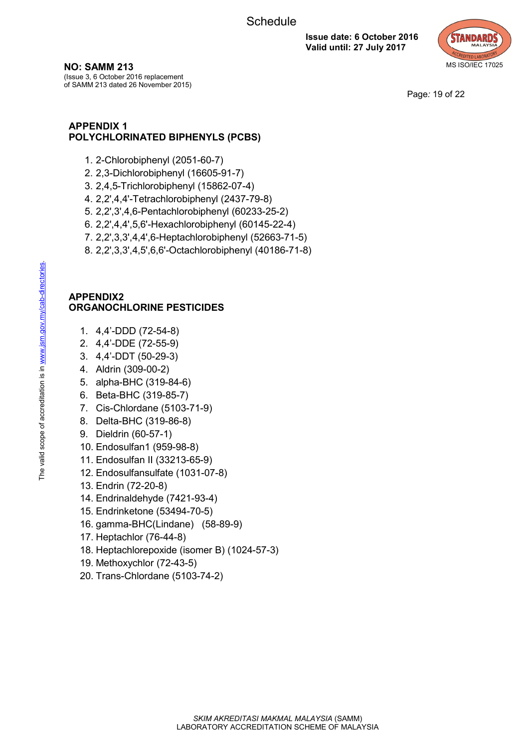

**NO: SAMM 213**

(Issue 3, 6 October 2016 replacement of SAMM 213 dated 26 November 2015)

Page*:* 19 of 22

## **APPENDIX 1 POLYCHLORINATED BIPHENYLS (PCBS)**

- 1. 2-Chlorobiphenyl (2051-60-7)
- 2. 2,3-Dichlorobiphenyl (16605-91-7)
- 3. 2,4,5-Trichlorobiphenyl (15862-07-4)
- 4. 2,2',4,4'-Tetrachlorobiphenyl (2437-79-8)
- 5. 2,2',3',4,6-Pentachlorobiphenyl (60233-25-2)
- 6. 2,2',4,4',5,6'-Hexachlorobiphenyl (60145-22-4)
- 7. 2,2',3,3',4,4',6-Heptachlorobiphenyl (52663-71-5)
- 8. 2,2',3,3',4,5',6,6'-Octachlorobiphenyl (40186-71-8)

#### **APPENDIX2 ORGANOCHLORINE PESTICIDES**

- 1. 4,4'-DDD (72-54-8)
- 2. 4,4'-DDE (72-55-9)
- 3. 4,4'-DDT (50-29-3)
- 4. Aldrin (309-00-2)
- 5. alpha-BHC (319-84-6)
- 6. Beta-BHC (319-85-7)
- 7. Cis-Chlordane (5103-71-9)
- 8. Delta-BHC (319-86-8)
- 9. Dieldrin (60-57-1)
- 10. Endosulfan1 (959-98-8)
- 11. Endosulfan II (33213-65-9)
- 12. Endosulfansulfate (1031-07-8)
- 13. Endrin (72-20-8)
- 14. Endrinaldehyde (7421-93-4)
- 15. Endrinketone (53494-70-5)
- 16. gamma-BHC(Lindane) (58-89-9)
- 17. Heptachlor (76-44-8)
- 18. Heptachlorepoxide (isomer B) (1024-57-3)
- 19. Methoxychlor (72-43-5)
- 20. Trans-Chlordane (5103-74-2)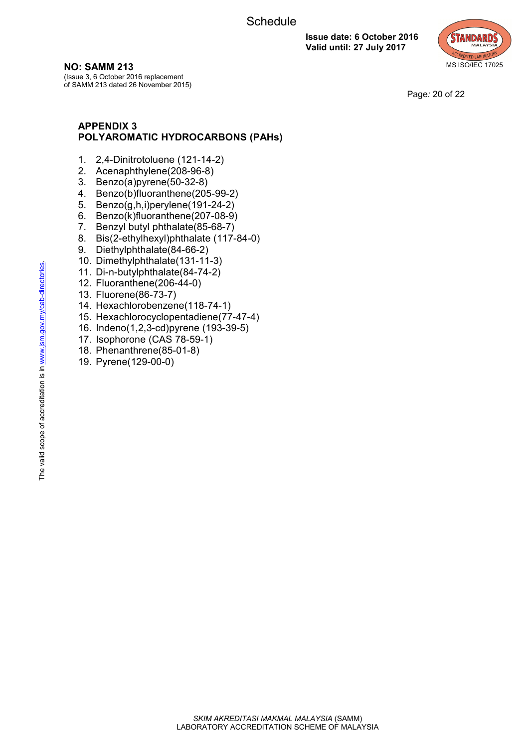

**NO: SAMM 213**

(Issue 3, 6 October 2016 replacement of SAMM 213 dated 26 November 2015)

Page*:* 20 of 22

## **APPENDIX 3 POLYAROMATIC HYDROCARBONS (PAHs)**

- 1. 2,4-Dinitrotoluene (121-14-2)
- 2. Acenaphthylene(208-96-8)
- 3. Benzo(a)pyrene(50-32-8)
- 4. Benzo(b)fluoranthene(205-99-2)
- 5. Benzo(g,h,i)perylene(191-24-2)
- 6. Benzo(k)fluoranthene(207-08-9)
- 7. Benzyl butyl phthalate(85-68-7)
- 8. Bis(2-ethylhexyl)phthalate (117-84-0)
- 9. Diethylphthalate(84-66-2)
- 10. Dimethylphthalate(131-11-3)
- 11. Di-n-butylphthalate(84-74-2)
- 12. Fluoranthene(206-44-0)
- 13. Fluorene(86-73-7)
- 14. Hexachlorobenzene(118-74-1)
- 15. Hexachlorocyclopentadiene(77-47-4)
- 16. Indeno(1,2,3-cd)pyrene (193-39-5)
- 17. Isophorone (CAS 78-59-1)
- 18. Phenanthrene(85-01-8)
- 19. Pyrene(129-00-0)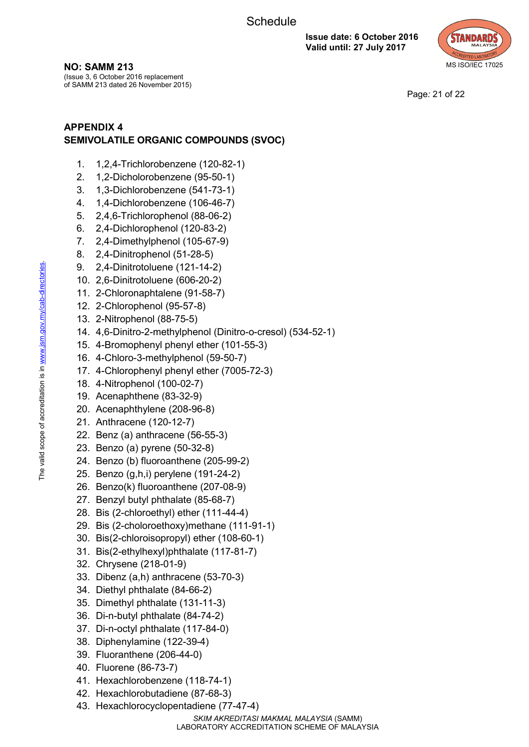

**NO: SAMM 213**

(Issue 3, 6 October 2016 replacement of SAMM 213 dated 26 November 2015)

Page*:* 21 of 22

# **APPENDIX 4 SEMIVOLATILE ORGANIC COMPOUNDS (SVOC)**

- 1. 1,2,4-Trichlorobenzene (120-82-1)
- 2. 1,2-Dicholorobenzene (95-50-1)
- 3. 1,3-Dichlorobenzene (541-73-1)
- 4. 1,4-Dichlorobenzene (106-46-7)
- 5. 2,4,6-Trichlorophenol (88-06-2)
- 6. 2,4-Dichlorophenol (120-83-2)
- 7. 2,4-Dimethylphenol (105-67-9)
- 8. 2,4-Dinitrophenol (51-28-5)
- 9. 2,4-Dinitrotoluene (121-14-2)
- 10. 2,6-Dinitrotoluene (606-20-2)
- 11. 2-Chloronaphtalene (91-58-7)
- 12. 2-Chlorophenol (95-57-8)
- 13. 2-Nitrophenol (88-75-5)
- 14. 4,6-Dinitro-2-methylphenol (Dinitro-o-cresol) (534-52-1)
- 15. 4-Bromophenyl phenyl ether (101-55-3)
- 16. 4-Chloro-3-methylphenol (59-50-7)
- 17. 4-Chlorophenyl phenyl ether (7005-72-3)
- 18. 4-Nitrophenol (100-02-7)
- 19. Acenaphthene (83-32-9)
- 20. Acenaphthylene (208-96-8)
- 21. Anthracene (120-12-7)
- 22. Benz (a) anthracene (56-55-3)
- 23. Benzo (a) pyrene (50-32-8)
- 24. Benzo (b) fluoroanthene (205-99-2)
- 25. Benzo (g,h,i) perylene (191-24-2)
- 26. Benzo(k) fluoroanthene (207-08-9)
- 27. Benzyl butyl phthalate (85-68-7)
- 28. Bis (2-chloroethyl) ether (111-44-4)
- 29. Bis (2-choloroethoxy)methane (111-91-1)
- 30. Bis(2-chloroisopropyl) ether (108-60-1)
- 31. Bis(2-ethylhexyl)phthalate (117-81-7)
- 32. Chrysene (218-01-9)
- 33. Dibenz (a,h) anthracene (53-70-3)
- 34. Diethyl phthalate (84-66-2)
- 35. Dimethyl phthalate (131-11-3)
- 36. Di-n-butyl phthalate (84-74-2)
- 37. Di-n-octyl phthalate (117-84-0)
- 38. Diphenylamine (122-39-4)
- 39. Fluoranthene (206-44-0)
- 40. Fluorene (86-73-7)
- 41. Hexachlorobenzene (118-74-1)
- 42. Hexachlorobutadiene (87-68-3)
- 43. Hexachlorocyclopentadiene (77-47-4)